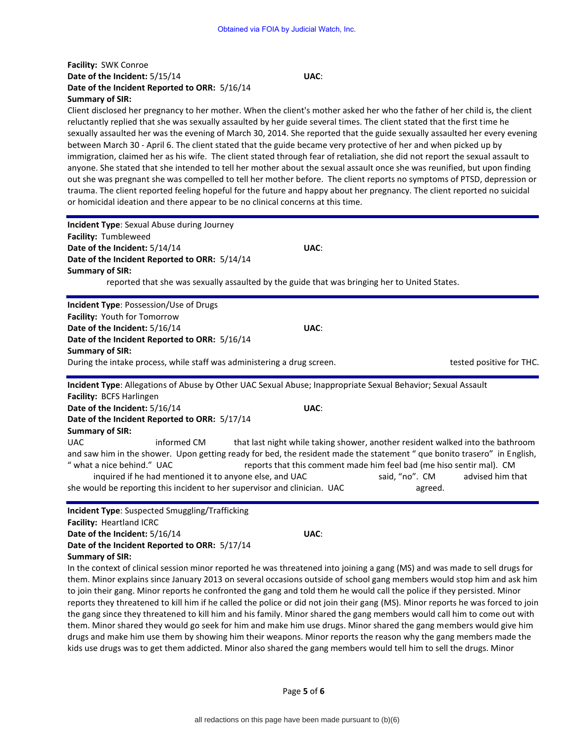## **Facility:** SWK Conroe **Date of the Incident:** 5/15/14 **UAC**: **Date of the Incident Reported to ORR:** 5/16/14 **Summary of SIR:**

Client disclosed her pregnancy to her mother. When the client's mother asked her who the father of her child is, the client reluctantly replied that she was sexually assaulted by her guide several times. The client stated that the first time he sexually assaulted her was the evening of March 30, 2014. She reported that the guide sexually assaulted her every evening between March 30 - April 6. The client stated that the guide became very protective of her and when picked up by immigration, claimed her as his wife. The client stated through fear of retaliation, she did not report the sexual assault to anyone. She stated that she intended to tell her mother about the sexual assault once she was reunified, but upon finding out she was pregnant she was compelled to tell her mother before. The client reports no symptoms of PTSD, depression or trauma. The client reported feeling hopeful for the future and happy about her pregnancy. The client reported no suicidal or homicidal ideation and there appear to be no clinical concerns at this time.

| <b>Incident Type:</b> Sexual Abuse during Journey<br>Facility: Tumbleweed<br>Date of the Incident: 5/14/14                                                                                                                                                                                                           | UAC: |                                                                                                                                                                                     |                          |
|----------------------------------------------------------------------------------------------------------------------------------------------------------------------------------------------------------------------------------------------------------------------------------------------------------------------|------|-------------------------------------------------------------------------------------------------------------------------------------------------------------------------------------|--------------------------|
| Date of the Incident Reported to ORR: 5/14/14<br><b>Summary of SIR:</b>                                                                                                                                                                                                                                              |      |                                                                                                                                                                                     |                          |
| reported that she was sexually assaulted by the guide that was bringing her to United States.                                                                                                                                                                                                                        |      |                                                                                                                                                                                     |                          |
| Incident Type: Possession/Use of Drugs                                                                                                                                                                                                                                                                               |      |                                                                                                                                                                                     |                          |
| Facility: Youth for Tomorrow<br>Date of the Incident: 5/16/14                                                                                                                                                                                                                                                        | UAC: |                                                                                                                                                                                     |                          |
| Date of the Incident Reported to ORR: 5/16/14                                                                                                                                                                                                                                                                        |      |                                                                                                                                                                                     |                          |
| <b>Summary of SIR:</b>                                                                                                                                                                                                                                                                                               |      |                                                                                                                                                                                     |                          |
| During the intake process, while staff was administering a drug screen.                                                                                                                                                                                                                                              |      |                                                                                                                                                                                     | tested positive for THC. |
| Incident Type: Allegations of Abuse by Other UAC Sexual Abuse; Inappropriate Sexual Behavior; Sexual Assault                                                                                                                                                                                                         |      |                                                                                                                                                                                     |                          |
| Facility: BCFS Harlingen<br>Date of the Incident: 5/16/14                                                                                                                                                                                                                                                            | UAC: |                                                                                                                                                                                     |                          |
| Date of the Incident Reported to ORR: 5/17/14                                                                                                                                                                                                                                                                        |      |                                                                                                                                                                                     |                          |
| <b>Summary of SIR:</b>                                                                                                                                                                                                                                                                                               |      |                                                                                                                                                                                     |                          |
| informed CM<br>UAC<br>and saw him in the shower. Upon getting ready for bed, the resident made the statement " que bonito trasero" in English,<br>" what a nice behind." UAC<br>inquired if he had mentioned it to anyone else, and UAC<br>she would be reporting this incident to her supervisor and clinician. UAC |      | that last night while taking shower, another resident walked into the bathroom<br>reports that this comment made him feel bad (me hiso sentir mal). CM<br>said, "no". CM<br>agreed. | advised him that         |
|                                                                                                                                                                                                                                                                                                                      |      |                                                                                                                                                                                     |                          |

**Incident Type**: Suspected Smuggling/Trafficking **Facility:** Heartland ICRC **Date of the Incident:** 5/16/14 **UAC**: **Date of the Incident Reported to ORR:** 5/17/14 **Summary of SIR:** 

In the context of clinical session minor reported he was threatened into joining a gang (MS) and was made to sell drugs for them. Minor explains since January 2013 on several occasions outside of school gang members would stop him and ask him to join their gang. Minor reports he confronted the gang and told them he would call the police if they persisted. Minor reports they threatened to kill him if he called the police or did not join their gang (MS). Minor reports he was forced to join the gang since they threatened to kill him and his family. Minor shared the gang members would call him to come out with them. Minor shared they would go seek for him and make him use drugs. Minor shared the gang members would give him drugs and make him use them by showing him their weapons. Minor reports the reason why the gang members made the kids use drugs was to get them addicted. Minor also shared the gang members would tell him to sell the drugs. Minor

Page **5** of **6**